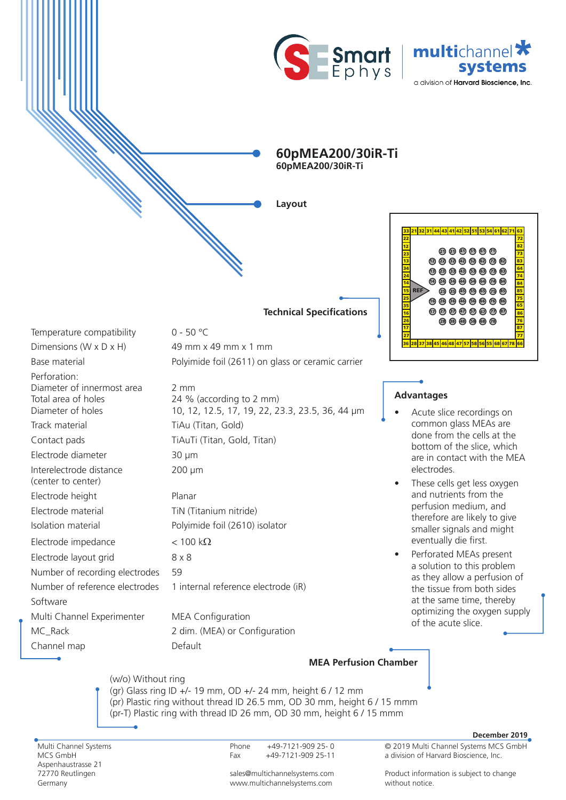



**60pMEA200/30iR-Ti 60pMEA200/30iR-Ti**

**Layout**

**Technical Specifications**



## **Advantages**

- Acute slice recordings on common glass MEAs are done from the cells at the bottom of the slice, which are in contact with the MEA electrodes.
- These cells get less oxygen and nutrients from the perfusion medium, and therefore are likely to give smaller signals and might eventually die first.
- Perforated MEAs present a solution to this problem as they allow a perfusion of the tissue from both sides at the same time, thereby optimizing the oxygen supply of the acute slice.

## **MEA Perfusion Chamber**

(w/o) Without ring (gr) Glass ring ID +/- 19 mm, OD +/- 24 mm, height 6 / 12 mm (pr) Plastic ring without thread ID 26.5 mm, OD 30 mm, height 6 / 15 mmm (pr-T) Plastic ring with thread ID 26 mm, OD 30 mm, height 6 / 15 mmm

Multi Channel Systems MCS GmbH Aspenhaustrasse 21 72770 Reutlingen Germany

Phone +49-7121-909 25- 0 Fax +49-7121-909 25-11

sales@multichannelsystems.com www.multichannelsystems.com

© 2019 Multi Channel Systems MCS GmbH **December 2019**

Product information is subject to change

a division of Harvard Bioscience, Inc.

2 mm

200 µm

24 % (according to 2 mm)

10, 12, 12.5, 17, 19, 22, 23.3, 23.5, 36, 44 µm

Temperature compatibility 0 - 50 °C

n<br>N

Dimensions (W  $\times$  D  $\times$  H) 49 mm  $\times$  49 mm  $\times$  1 mm

Base material **Polyimide foil (2611)** on glass or ceramic carrier

Perforation: Diameter of innermost area Total area of holes Diameter of holes

Track material TiAu (Titan, Gold)

Contact pads TiAuTi (Titan, Gold, Titan)

Electrode diameter 30 µm

Interelectrode distance

(center to center) Electrode height Planar

Electrode material TiN (Titanium nitride)

Isolation material Polyimide foil (2610) isolator

Electrode impedance  $\langle 100 \text{ k}\Omega \rangle$ 

Electrode layout grid 8 x 8 Number of recording electrodes 59 Number of reference electrodes 1 internal reference electrode (iR)

Software Multi Channel Experimenter MEA Configuration MC\_Rack 2 dim. (MEA) or Configuration

Channel map Default

without notice